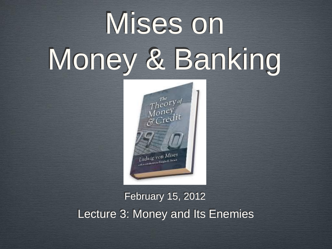# Mises on Money & Banking



#### February 15, 2012 Lecture 3: Money and Its Enemies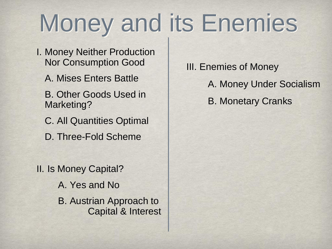### Money and its Enemies

- I. Money Neither Production Nor Consumption Good
	- A. Mises Enters Battle
	- B. Other Goods Used in Marketing?
	- C. All Quantities Optimal
	- D. Three-Fold Scheme

II. Is Money Capital? A. Yes and No B. Austrian Approach to Capital & Interest III. Enemies of Money A. Money Under Socialism B. Monetary Cranks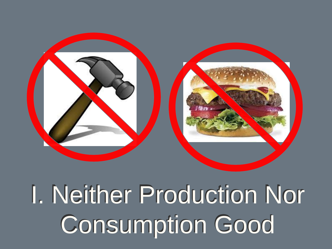

## I. Neither Production Nor Consumption Good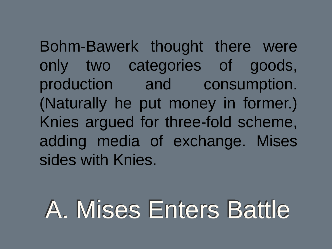Bohm-Bawerk thought there were only two categories of goods, production and consumption. (Naturally he put money in former.) Knies argued for three-fold scheme, adding media of exchange. Mises sides with Knies.

### A. Mises Enters Battle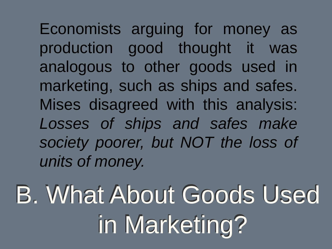Economists arguing for money as production good thought it was analogous to other goods used in marketing, such as ships and safes. Mises disagreed with this analysis: *Losses of ships and safes make society poorer, but NOT the loss of units of money.*

B. What About Goods Used in Marketing?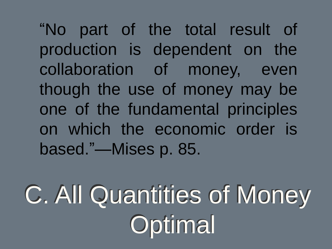"No part of the total result of production is dependent on the collaboration of money, even though the use of money may be one of the fundamental principles on which the economic order is based."—Mises p. 85.

C. All Quantities of Money **Optimal**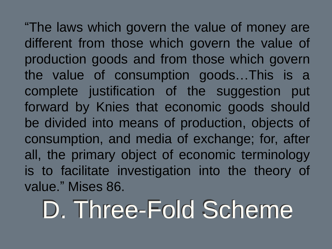"The laws which govern the value of money are different from those which govern the value of production goods and from those which govern the value of consumption goods…This is a complete justification of the suggestion put forward by Knies that economic goods should be divided into means of production, objects of consumption, and media of exchange; for, after all, the primary object of economic terminology is to facilitate investigation into the theory of value." Mises 86.

### D. Three-Fold Scheme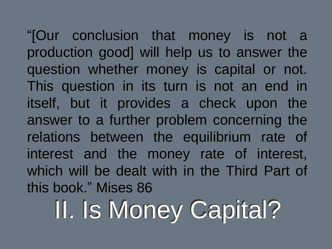"[Our conclusion that money is not a production good] will help us to answer the question whether money is capital or not. This question in its turn is not an end in itself, but it provides a check upon the answer to a further problem concerning the relations between the equilibrium rate of interest and the money rate of interest, which will be dealt with in the Third Part of this book." Mises 86

II. Is Money Capital?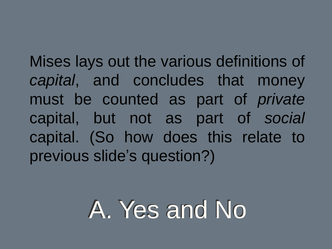Mises lays out the various definitions of *capital*, and concludes that money must be counted as part of *private* capital, but not as part of *social*  capital. (So how does this relate to previous slide's question?)

#### A. Yes and No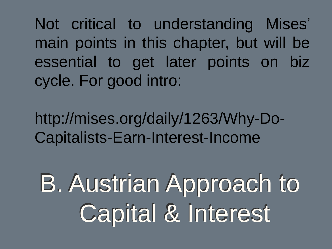Not critical to understanding Mises' main points in this chapter, but will be essential to get later points on biz cycle. For good intro:

http://mises.org/daily/1263/Why-Do-Capitalists-Earn-Interest-Income

B. Austrian Approach to Capital & Interest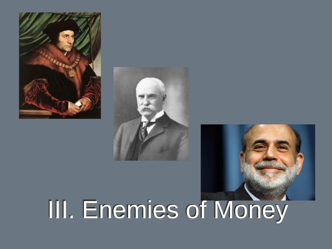



# III. Enemies of Money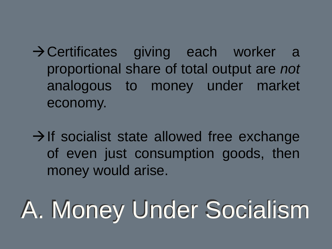Certificates giving each worker a proportional share of total output are *not* analogous to money under market economy.

 $\rightarrow$  If socialist state allowed free exchange of even just consumption goods, then money would arise.

# A. Money Under Socialism